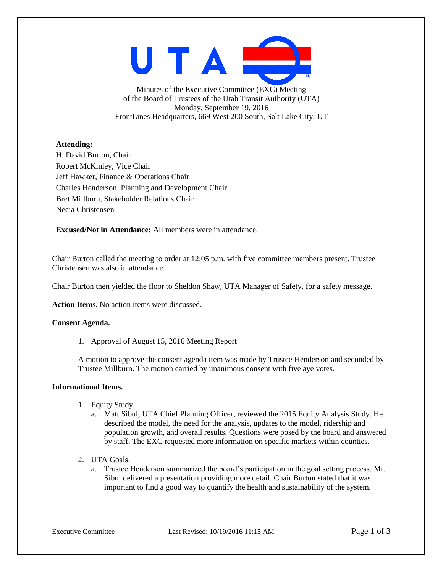UTAI

Minutes of the Executive Committee (EXC) Meeting of the Board of Trustees of the Utah Transit Authority (UTA) Monday, September 19, 2016 FrontLines Headquarters, 669 West 200 South, Salt Lake City, UT

## **Attending:**

H. David Burton, Chair Robert McKinley, Vice Chair Jeff Hawker, Finance & Operations Chair Charles Henderson, Planning and Development Chair Bret Millburn, Stakeholder Relations Chair Necia Christensen

**Excused/Not in Attendance:** All members were in attendance.

Chair Burton called the meeting to order at 12:05 p.m. with five committee members present. Trustee Christensen was also in attendance.

Chair Burton then yielded the floor to Sheldon Shaw, UTA Manager of Safety, for a safety message.

**Action Items.** No action items were discussed.

## **Consent Agenda.**

1. Approval of August 15, 2016 Meeting Report

A motion to approve the consent agenda item was made by Trustee Henderson and seconded by Trustee Millburn. The motion carried by unanimous consent with five aye votes.

#### **Informational Items.**

- 1. Equity Study.
	- a. Matt Sibul, UTA Chief Planning Officer, reviewed the 2015 Equity Analysis Study. He described the model, the need for the analysis, updates to the model, ridership and population growth, and overall results. Questions were posed by the board and answered by staff. The EXC requested more information on specific markets within counties.
- 2. UTA Goals.
	- a. Trustee Henderson summarized the board's participation in the goal setting process. Mr. Sibul delivered a presentation providing more detail. Chair Burton stated that it was important to find a good way to quantify the health and sustainability of the system.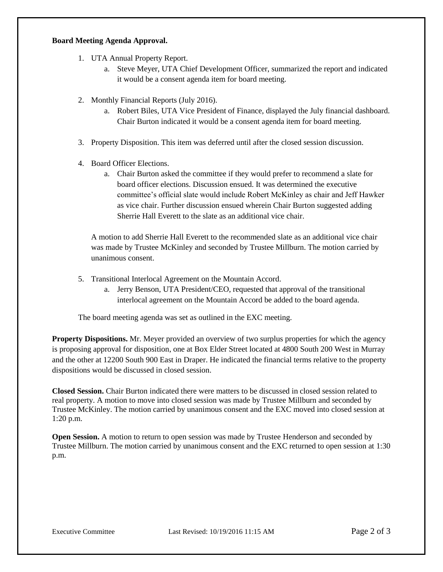## **Board Meeting Agenda Approval.**

- 1. UTA Annual Property Report.
	- a. Steve Meyer, UTA Chief Development Officer, summarized the report and indicated it would be a consent agenda item for board meeting.
- 2. Monthly Financial Reports (July 2016).
	- a. Robert Biles, UTA Vice President of Finance, displayed the July financial dashboard. Chair Burton indicated it would be a consent agenda item for board meeting.
- 3. Property Disposition. This item was deferred until after the closed session discussion.
- 4. Board Officer Elections.
	- a. Chair Burton asked the committee if they would prefer to recommend a slate for board officer elections. Discussion ensued. It was determined the executive committee's official slate would include Robert McKinley as chair and Jeff Hawker as vice chair. Further discussion ensued wherein Chair Burton suggested adding Sherrie Hall Everett to the slate as an additional vice chair.

A motion to add Sherrie Hall Everett to the recommended slate as an additional vice chair was made by Trustee McKinley and seconded by Trustee Millburn. The motion carried by unanimous consent.

- 5. Transitional Interlocal Agreement on the Mountain Accord.
	- a. Jerry Benson, UTA President/CEO, requested that approval of the transitional interlocal agreement on the Mountain Accord be added to the board agenda.

The board meeting agenda was set as outlined in the EXC meeting.

**Property Dispositions.** Mr. Meyer provided an overview of two surplus properties for which the agency is proposing approval for disposition, one at Box Elder Street located at 4800 South 200 West in Murray and the other at 12200 South 900 East in Draper. He indicated the financial terms relative to the property dispositions would be discussed in closed session.

**Closed Session.** Chair Burton indicated there were matters to be discussed in closed session related to real property. A motion to move into closed session was made by Trustee Millburn and seconded by Trustee McKinley. The motion carried by unanimous consent and the EXC moved into closed session at 1:20 p.m.

**Open Session.** A motion to return to open session was made by Trustee Henderson and seconded by Trustee Millburn. The motion carried by unanimous consent and the EXC returned to open session at 1:30 p.m.